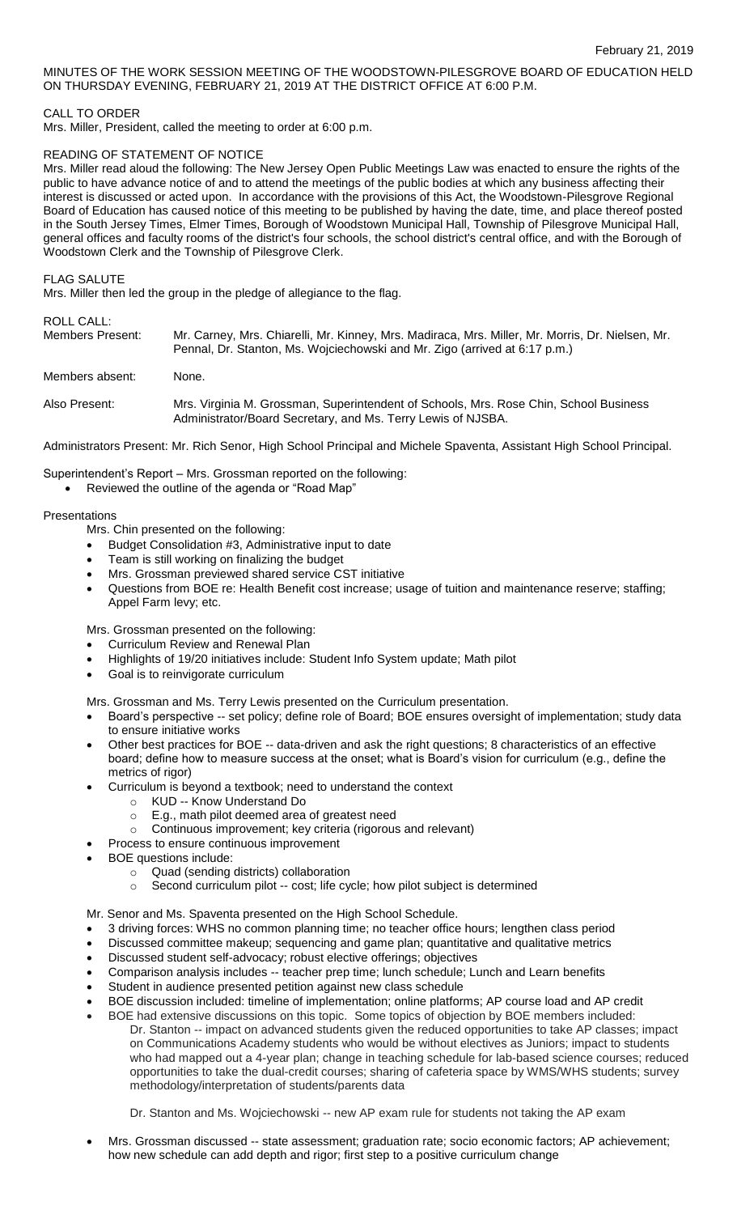MINUTES OF THE WORK SESSION MEETING OF THE WOODSTOWN-PILESGROVE BOARD OF EDUCATION HELD ON THURSDAY EVENING, FEBRUARY 21, 2019 AT THE DISTRICT OFFICE AT 6:00 P.M.

## CALL TO ORDER

Mrs. Miller, President, called the meeting to order at 6:00 p.m.

#### READING OF STATEMENT OF NOTICE

Mrs. Miller read aloud the following: The New Jersey Open Public Meetings Law was enacted to ensure the rights of the public to have advance notice of and to attend the meetings of the public bodies at which any business affecting their interest is discussed or acted upon. In accordance with the provisions of this Act, the Woodstown-Pilesgrove Regional Board of Education has caused notice of this meeting to be published by having the date, time, and place thereof posted in the South Jersey Times, Elmer Times, Borough of Woodstown Municipal Hall, Township of Pilesgrove Municipal Hall, general offices and faculty rooms of the district's four schools, the school district's central office, and with the Borough of Woodstown Clerk and the Township of Pilesgrove Clerk.

FLAG SALUTE

Mrs. Miller then led the group in the pledge of allegiance to the flag.

# ROLL CALL:

| .<br>Members Present: | Mr. Carney, Mrs. Chiarelli, Mr. Kinney, Mrs. Madiraca, Mrs. Miller, Mr. Morris, Dr. Nielsen, Mr.<br>Pennal, Dr. Stanton, Ms. Wojciechowski and Mr. Zigo (arrived at 6:17 p.m.) |
|-----------------------|--------------------------------------------------------------------------------------------------------------------------------------------------------------------------------|
| Members absent:       | None.                                                                                                                                                                          |
| Also Present:         | Mrs. Virginia M. Grossman, Superintendent of Schools, Mrs. Rose Chin, School Business<br>Administrator/Board Secretary, and Ms. Terry Lewis of NJSBA.                          |

Administrators Present: Mr. Rich Senor, High School Principal and Michele Spaventa, Assistant High School Principal.

Superintendent's Report – Mrs. Grossman reported on the following:

Reviewed the outline of the agenda or "Road Map"

#### Presentations

Mrs. Chin presented on the following:

- Budget Consolidation #3, Administrative input to date
- Team is still working on finalizing the budget
- Mrs. Grossman previewed shared service CST initiative
- Questions from BOE re: Health Benefit cost increase; usage of tuition and maintenance reserve; staffing; Appel Farm levy; etc.

Mrs. Grossman presented on the following:

- Curriculum Review and Renewal Plan
- Highlights of 19/20 initiatives include: Student Info System update; Math pilot
- Goal is to reinvigorate curriculum

Mrs. Grossman and Ms. Terry Lewis presented on the Curriculum presentation.

- Board's perspective -- set policy; define role of Board; BOE ensures oversight of implementation; study data to ensure initiative works
- Other best practices for BOE -- data-driven and ask the right questions; 8 characteristics of an effective board; define how to measure success at the onset; what is Board's vision for curriculum (e.g., define the metrics of rigor)
- Curriculum is beyond a textbook; need to understand the context
	- o KUD -- Know Understand Do
		- o E.g., math pilot deemed area of greatest need
		- o Continuous improvement; key criteria (rigorous and relevant)
- Process to ensure continuous improvement
- BOE questions include:
	- o Quad (sending districts) collaboration
	- o Second curriculum pilot -- cost; life cycle; how pilot subject is determined
- Mr. Senor and Ms. Spaventa presented on the High School Schedule.
- 3 driving forces: WHS no common planning time; no teacher office hours; lengthen class period
- Discussed committee makeup; sequencing and game plan; quantitative and qualitative metrics
- Discussed student self-advocacy; robust elective offerings; objectives
- Comparison analysis includes -- teacher prep time; lunch schedule; Lunch and Learn benefits
- Student in audience presented petition against new class schedule
- BOE discussion included: timeline of implementation; online platforms; AP course load and AP credit
- BOE had extensive discussions on this topic. Some topics of objection by BOE members included: Dr. Stanton -- impact on advanced students given the reduced opportunities to take AP classes; impact on Communications Academy students who would be without electives as Juniors; impact to students who had mapped out a 4-year plan; change in teaching schedule for lab-based science courses; reduced opportunities to take the dual-credit courses; sharing of cafeteria space by WMS/WHS students; survey methodology/interpretation of students/parents data

Dr. Stanton and Ms. Wojciechowski -- new AP exam rule for students not taking the AP exam

 Mrs. Grossman discussed -- state assessment; graduation rate; socio economic factors; AP achievement; how new schedule can add depth and rigor; first step to a positive curriculum change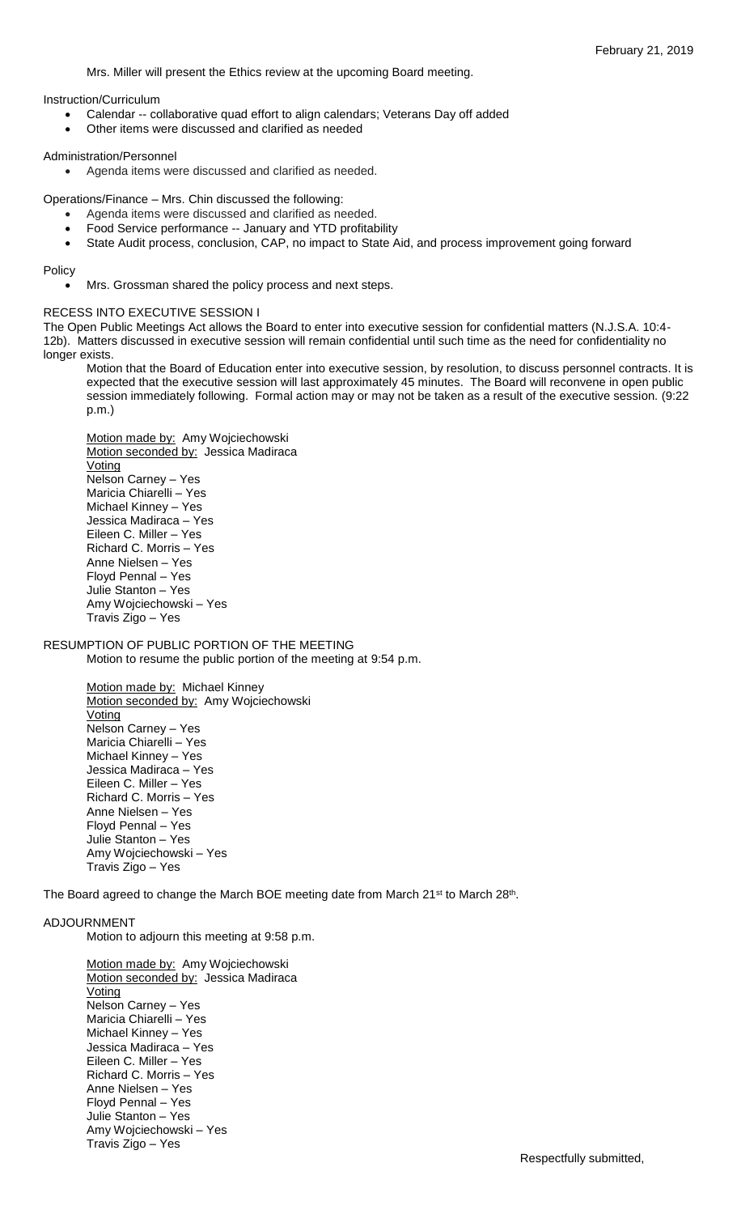Mrs. Miller will present the Ethics review at the upcoming Board meeting.

Instruction/Curriculum

- Calendar -- collaborative quad effort to align calendars; Veterans Day off added
- Other items were discussed and clarified as needed

## Administration/Personnel

Agenda items were discussed and clarified as needed.

Operations/Finance – Mrs. Chin discussed the following:

- Agenda items were discussed and clarified as needed.
	- Food Service performance -- January and YTD profitability
	- State Audit process, conclusion, CAP, no impact to State Aid, and process improvement going forward

Policy

Mrs. Grossman shared the policy process and next steps.

## RECESS INTO EXECUTIVE SESSION I

The Open Public Meetings Act allows the Board to enter into executive session for confidential matters (N.J.S.A. 10:4- 12b). Matters discussed in executive session will remain confidential until such time as the need for confidentiality no longer exists.

Motion that the Board of Education enter into executive session, by resolution, to discuss personnel contracts. It is expected that the executive session will last approximately 45 minutes. The Board will reconvene in open public session immediately following. Formal action may or may not be taken as a result of the executive session. (9:22 p.m.)

Motion made by: Amy Wojciechowski Motion seconded by: Jessica Madiraca Voting Nelson Carney – Yes Maricia Chiarelli – Yes Michael Kinney – Yes Jessica Madiraca – Yes Eileen C. Miller – Yes Richard C. Morris – Yes Anne Nielsen – Yes Floyd Pennal – Yes Julie Stanton – Yes Amy Wojciechowski – Yes Travis Zigo – Yes

RESUMPTION OF PUBLIC PORTION OF THE MEETING

Motion to resume the public portion of the meeting at 9:54 p.m.

Motion made by: Michael Kinney Motion seconded by: Amy Wojciechowski Voting Nelson Carney – Yes Maricia Chiarelli – Yes Michael Kinney – Yes Jessica Madiraca – Yes Eileen C. Miller – Yes Richard C. Morris – Yes Anne Nielsen – Yes Floyd Pennal – Yes Julie Stanton – Yes Amy Wojciechowski – Yes Travis Zigo – Yes

The Board agreed to change the March BOE meeting date from March 21<sup>st</sup> to March 28<sup>th</sup>.

#### ADJOURNMENT

Motion to adjourn this meeting at 9:58 p.m.

Motion made by: Amy Wojciechowski Motion seconded by: Jessica Madiraca Voting Nelson Carney – Yes Maricia Chiarelli – Yes Michael Kinney – Yes Jessica Madiraca – Yes Eileen C. Miller – Yes Richard C. Morris – Yes Anne Nielsen – Yes Floyd Pennal – Yes Julie Stanton – Yes Amy Wojciechowski – Yes Travis Zigo – Yes